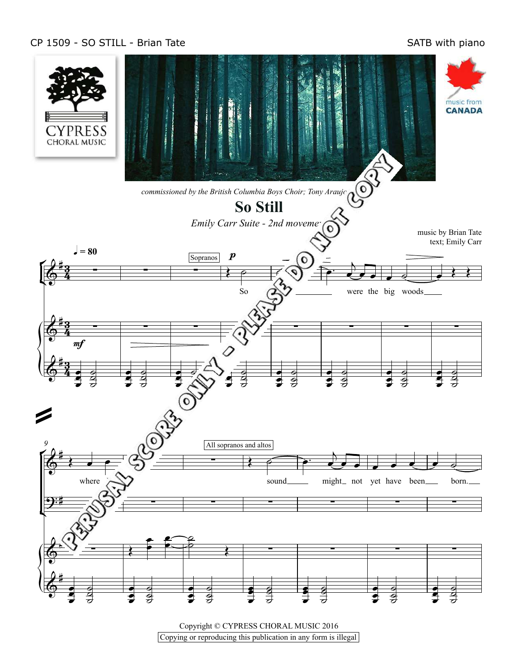## CP 1509 - SO STILL - Brian Tate SATB with piano



Copyright © CYPRESS CHORAL MUSIC 2016  $\frac{1}{2}$  Copying or reproducing this publication in any form is illegal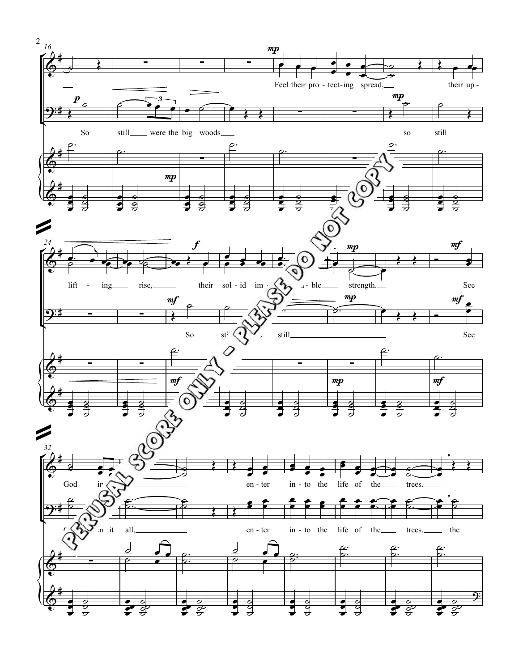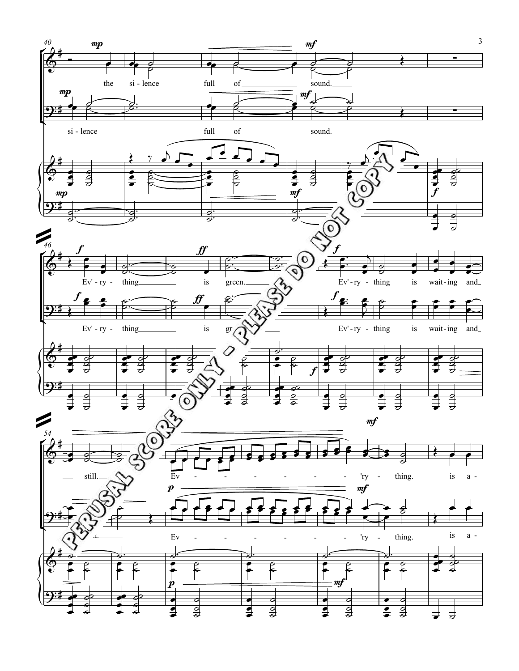